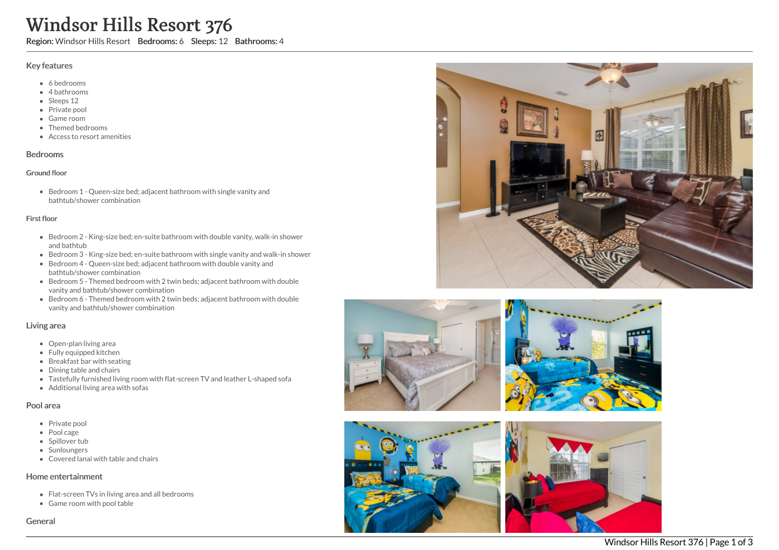# Windsor Hills Resort 376

Region: Windsor Hills Resort Bedrooms: 6 Sleeps: 12 Bathrooms: 4

#### Key features

- 6 bedrooms
- 4 bathrooms
- Sleeps 12
- Private pool
- Game room
- Themed bedrooms
- Access to resort amenities

#### Bedrooms

#### Ground floor

Bedroom 1 - Queen-size bed; adjacent bathroom with single vanity and bathtub/shower combination

#### First floor

- Bedroom 2 King-size bed; en-suite bathroom with double vanity, walk-in shower and bathtub
- Bedroom 3 King-size bed; en-suite bathroom with single vanity and walk-in shower
- Bedroom 4 Queen-size bed; adjacent bathroom with double vanity and bathtub/shower combination
- Bedroom 5 Themed bedroom with 2 twin beds; adjacent bathroom with double vanity and bathtub/shower combination
- Bedroom 6 Themed bedroom with 2 twin beds; adjacent bathroom with double vanity and bathtub/shower combination

#### Living area

- Open-plan living area
- Fully equipped kitchen
- Breakfast bar with seating
- Dining table and chairs
- Tastefully furnished living room with flat-screen TV and leather L-shaped sofa
- Additional living area with sofas

#### Pool area

- Private pool
- Pool cage
- Spillover tub
- Sunloungers
- Covered lanai with table and chairs

## Home entertainment

- Flat-screen TVs in living area and all bedrooms
- Game room with pool table

General









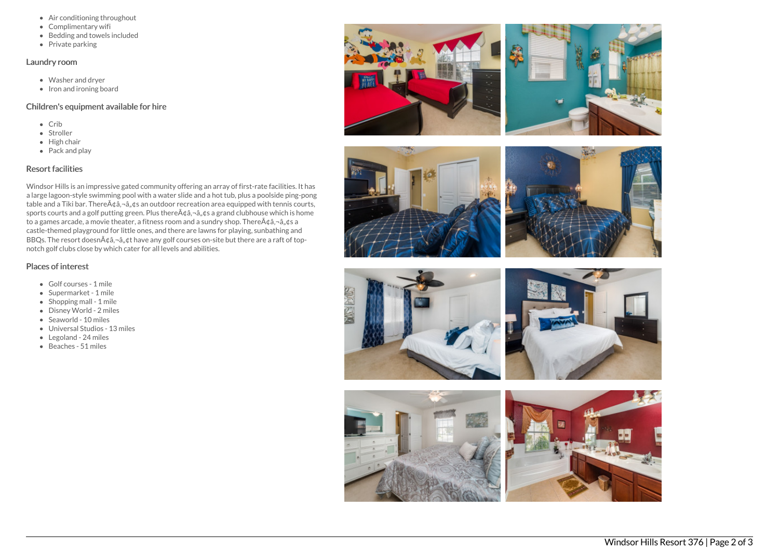- Air conditioning throughout
- Complimentary wifi
- Bedding and towels included
- Private parking

#### Laundry room

- Washer and dryer
- Iron and ironing board

### Children's equipment available for hire

- $\bullet$  Crib
- Stroller
- $\bullet$  High chair
- Pack and play

# Resort facilities

Windsor Hills is an impressive gated community offering an array of first-rate facilities. It has a large lagoon-style swimming pool with a water slide and a hot tub, plus a poolside ping-pong table and a Tiki bar. There $\tilde{A}$  $\xi$ a, $\tilde{a}$ , $\tilde{a}$ , $\xi$ s an outdoor recreation area equipped with tennis courts, sports courts and a golf putting green. Plus there $A\hat{\alpha}$ ,  $\hat{\alpha}$ ,  $\hat{\alpha}$  a grand clubhouse which is home to a games arcade, a movie theater, a fitness room and a sundry shop. There $A\phi$  $\hat{a}$ , $\hat{a}$ , $\phi$ s a castle-themed playground for little ones, and there are lawns for playing, sunbathing and BBQs. The resort doesn $\tilde{A}$ ¢â,¬â"¢t have any golf courses on-site but there are a raft of topnotch golf clubs close by which cater for all levels and abilities.

# Places of interest

- Golf courses 1 mile
- Supermarket 1 mile
- Shopping mall 1 mile
- Disney World 2 miles
- Seaworld 10 miles
- Universal Studios 13 miles
- Legoland 24 miles
- Beaches 51 miles